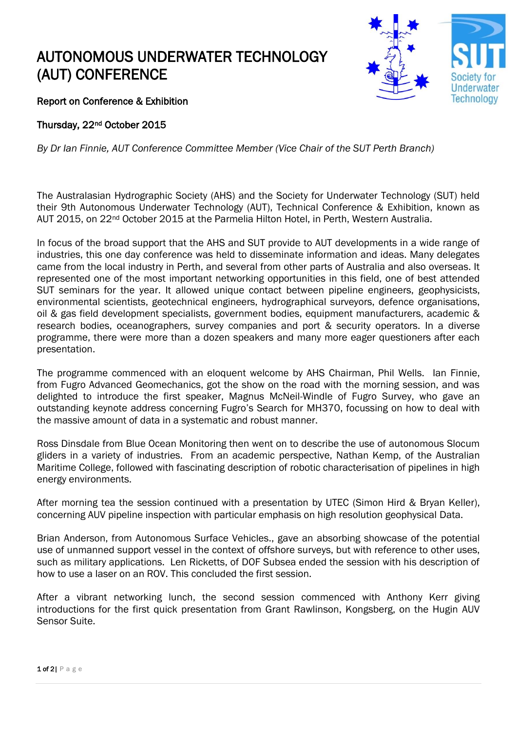## AUTONOMOUS UNDERWATER TECHNOLOGY (AUT) CONFERENCE



Report on Conference & Exhibition

Thursday, 22nd October 2015

*By Dr Ian Finnie, AUT Conference Committee Member (Vice Chair of the SUT Perth Branch)* 

The Australasian Hydrographic Society (AHS) and the Society for Underwater Technology (SUT) held their 9th Autonomous Underwater Technology (AUT), Technical Conference & Exhibition, known as AUT 2015, on 22<sup>nd</sup> October 2015 at the Parmelia Hilton Hotel, in Perth, Western Australia.

In focus of the broad support that the AHS and SUT provide to AUT developments in a wide range of industries, this one day conference was held to disseminate information and ideas. Many delegates came from the local industry in Perth, and several from other parts of Australia and also overseas. It represented one of the most important networking opportunities in this field, one of best attended SUT seminars for the year. It allowed unique contact between pipeline engineers, geophysicists, environmental scientists, geotechnical engineers, hydrographical surveyors, defence organisations, oil & gas field development specialists, government bodies, equipment manufacturers, academic & research bodies, oceanographers, survey companies and port & security operators. In a diverse programme, there were more than a dozen speakers and many more eager questioners after each presentation.

The programme commenced with an eloquent welcome by AHS Chairman, Phil Wells. Ian Finnie, from Fugro Advanced Geomechanics, got the show on the road with the morning session, and was delighted to introduce the first speaker, Magnus McNeil-Windle of Fugro Survey, who gave an outstanding keynote address concerning Fugro's Search for MH370, focussing on how to deal with the massive amount of data in a systematic and robust manner.

Ross Dinsdale from Blue Ocean Monitoring then went on to describe the use of autonomous Slocum gliders in a variety of industries. From an academic perspective, Nathan Kemp, of the Australian Maritime College, followed with fascinating description of robotic characterisation of pipelines in high energy environments.

After morning tea the session continued with a presentation by UTEC (Simon Hird & Bryan Keller), concerning AUV pipeline inspection with particular emphasis on high resolution geophysical Data.

Brian Anderson, from Autonomous Surface Vehicles., gave an absorbing showcase of the potential use of unmanned support vessel in the context of offshore surveys, but with reference to other uses, such as military applications. Len Ricketts, of DOF Subsea ended the session with his description of how to use a laser on an ROV. This concluded the first session.

After a vibrant networking lunch, the second session commenced with Anthony Kerr giving introductions for the first quick presentation from Grant Rawlinson, Kongsberg, on the Hugin AUV Sensor Suite.